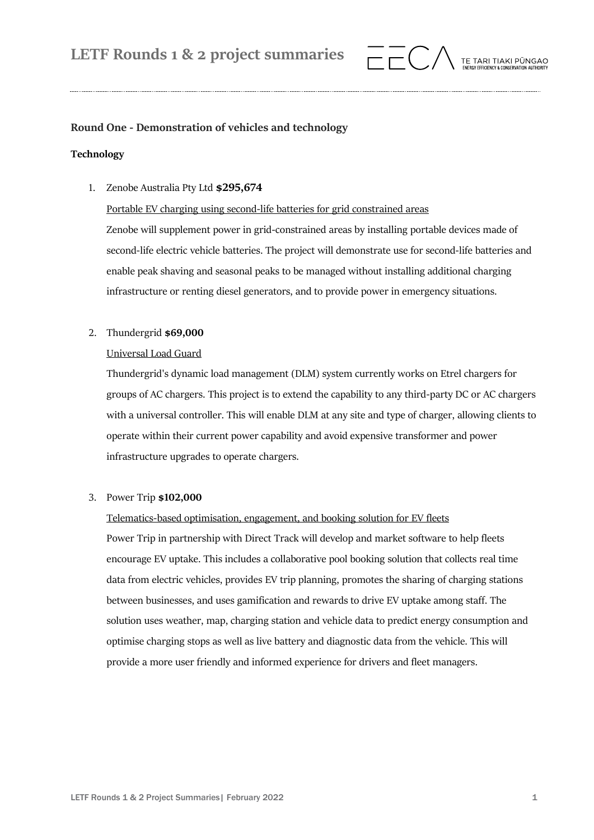

# **Round One - Demonstration of vehicles and technology**

# **Technology**

1. Zenobe Australia Pty Ltd **\$295,674**

# Portable EV charging using second-life batteries for grid constrained areas

Zenobe will supplement power in grid-constrained areas by installing portable devices made of second-life electric vehicle batteries. The project will demonstrate use for second-life batteries and enable peak shaving and seasonal peaks to be managed without installing additional charging infrastructure or renting diesel generators, and to provide power in emergency situations.

# 2. Thundergrid **\$69,000**

# Universal Load Guard

Thundergrid's dynamic load management (DLM) system currently works on Etrel chargers for groups of AC chargers. This project is to extend the capability to any third-party DC or AC chargers with a universal controller. This will enable DLM at any site and type of charger, allowing clients to operate within their current power capability and avoid expensive transformer and power infrastructure upgrades to operate chargers.

# 3. Power Trip **\$102,000**

# Telematics-based optimisation, engagement, and booking solution for EV fleets

Power Trip in partnership with Direct Track will develop and market software to help fleets encourage EV uptake. This includes a collaborative pool booking solution that collects real time data from electric vehicles, provides EV trip planning, promotes the sharing of charging stations between businesses, and uses gamification and rewards to drive EV uptake among staff. The solution uses weather, map, charging station and vehicle data to predict energy consumption and optimise charging stops as well as live battery and diagnostic data from the vehicle. This will provide a more user friendly and informed experience for drivers and fleet managers.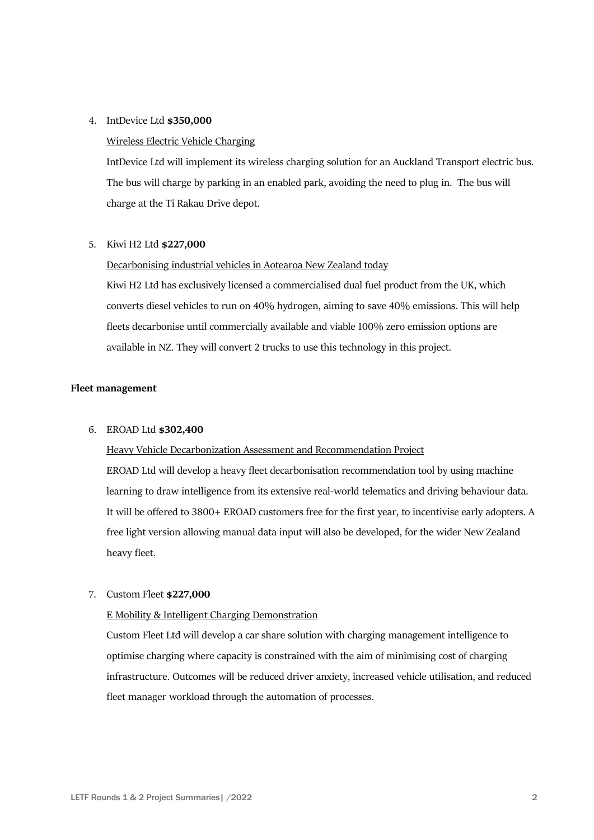#### 4. IntDevice Ltd **\$350,000**

#### Wireless Electric Vehicle Charging

IntDevice Ltd will implement its wireless charging solution for an Auckland Transport electric bus. The bus will charge by parking in an enabled park, avoiding the need to plug in. The bus will charge at the Ti Rakau Drive depot.

#### 5. Kiwi H2 Ltd **\$227,000**

#### Decarbonising industrial vehicles in Aotearoa New Zealand today

Kiwi H2 Ltd has exclusively licensed a commercialised dual fuel product from the UK, which converts diesel vehicles to run on 40% hydrogen, aiming to save 40% emissions. This will help fleets decarbonise until commercially available and viable 100% zero emission options are available in NZ. They will convert 2 trucks to use this technology in this project.

#### **Fleet management**

#### 6. EROAD Ltd **\$302,400**

Heavy Vehicle Decarbonization Assessment and Recommendation Project EROAD Ltd will develop a heavy fleet decarbonisation recommendation tool by using machine learning to draw intelligence from its extensive real-world telematics and driving behaviour data. It will be offered to 3800+ EROAD customers free for the first year, to incentivise early adopters. A free light version allowing manual data input will also be developed, for the wider New Zealand heavy fleet.

## 7. Custom Fleet **\$227,000**

### E Mobility & Intelligent Charging Demonstration

Custom Fleet Ltd will develop a car share solution with charging management intelligence to optimise charging where capacity is constrained with the aim of minimising cost of charging infrastructure. Outcomes will be reduced driver anxiety, increased vehicle utilisation, and reduced fleet manager workload through the automation of processes.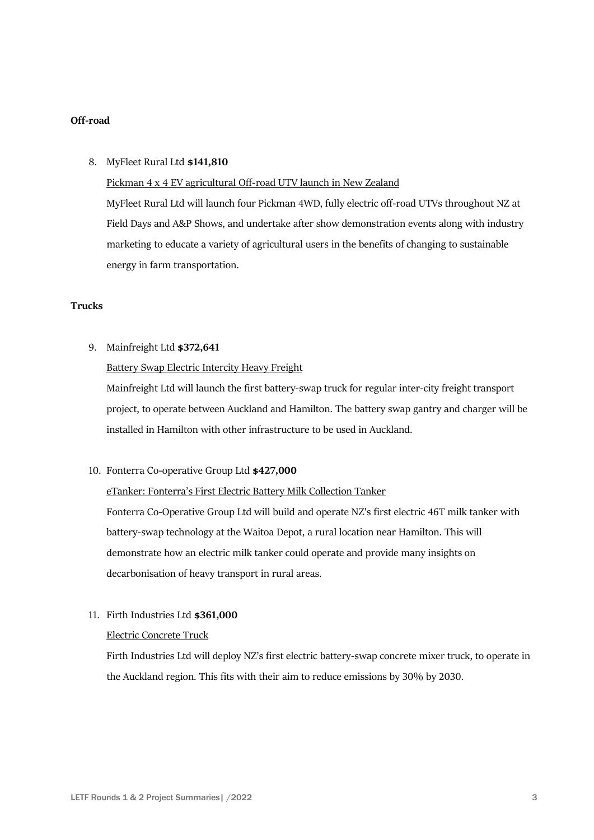# **Off-road**

### 8. MyFleet Rural Ltd **\$141,810**

Pickman 4 x 4 EV agricultural Off-road UTV launch in New Zealand

MyFleet Rural Ltd will launch four Pickman 4WD, fully electric off-road UTVs throughout NZ at Field Days and A&P Shows, and undertake after show demonstration events along with industry marketing to educate a variety of agricultural users in the benefits of changing to sustainable energy in farm transportation.

# **Trucks**

9. Mainfreight Ltd **\$372,641**

# Battery Swap Electric Intercity Heavy Freight

Mainfreight Ltd will launch the first battery-swap truck for regular inter-city freight transport project, to operate between Auckland and Hamilton. The battery swap gantry and charger will be installed in Hamilton with other infrastructure to be used in Auckland.

#### 10. Fonterra Co-operative Group Ltd **\$427,000**

#### eTanker: Fonterra's First Electric Battery Milk Collection Tanker

Fonterra Co-Operative Group Ltd will build and operate NZ's first electric 46T milk tanker with battery-swap technology at the Waitoa Depot, a rural location near Hamilton. This will demonstrate how an electric milk tanker could operate and provide many insights on decarbonisation of heavy transport in rural areas.

## 11. Firth Industries Ltd **\$361,000**

#### Electric Concrete Truck

Firth Industries Ltd will deploy NZ's first electric battery-swap concrete mixer truck, to operate in the Auckland region. This fits with their aim to reduce emissions by 30% by 2030.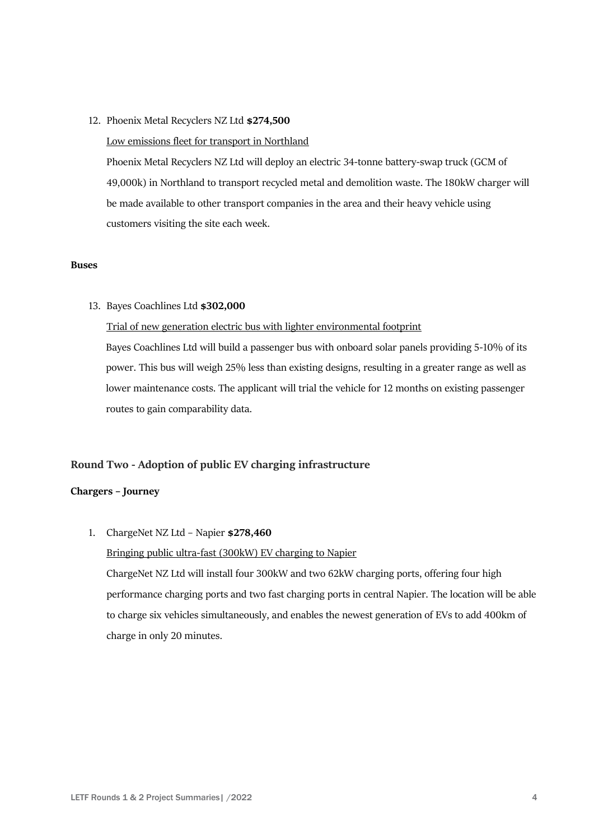- 12. Phoenix Metal Recyclers NZ Ltd **\$274,500**
	- Low emissions fleet for transport in Northland

Phoenix Metal Recyclers NZ Ltd will deploy an electric 34-tonne battery-swap truck (GCM of 49,000k) in Northland to transport recycled metal and demolition waste. The 180kW charger will be made available to other transport companies in the area and their heavy vehicle using customers visiting the site each week.

#### **Buses**

13. Bayes Coachlines Ltd **\$302,000**

# Trial of new generation electric bus with lighter environmental footprint

Bayes Coachlines Ltd will build a passenger bus with onboard solar panels providing 5-10% of its power. This bus will weigh 25% less than existing designs, resulting in a greater range as well as lower maintenance costs. The applicant will trial the vehicle for 12 months on existing passenger routes to gain comparability data.

## **Round Two - Adoption of public EV charging infrastructure**

## **Chargers – Journey**

1. ChargeNet NZ Ltd – Napier **\$278,460**

Bringing public ultra-fast (300kW) EV charging to Napier

ChargeNet NZ Ltd will install four 300kW and two 62kW charging ports, offering four high performance charging ports and two fast charging ports in central Napier. The location will be able to charge six vehicles simultaneously, and enables the newest generation of EVs to add 400km of charge in only 20 minutes.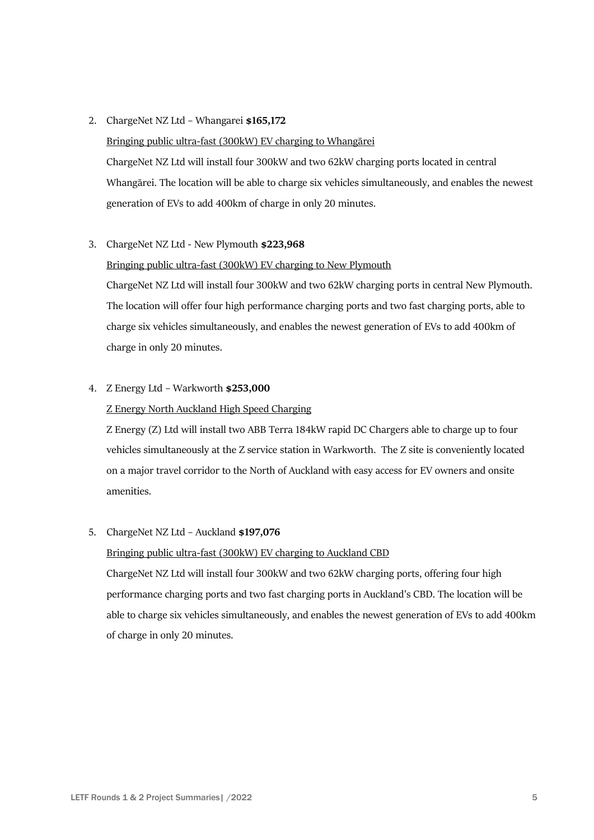## 2. ChargeNet NZ Ltd – Whangarei **\$165,172**

Bringing public ultra-fast (300kW) EV charging to Whangārei ChargeNet NZ Ltd will install four 300kW and two 62kW charging ports located in central Whangārei. The location will be able to charge six vehicles simultaneously, and enables the newest generation of EVs to add 400km of charge in only 20 minutes.

# 3. ChargeNet NZ Ltd - New Plymouth **\$223,968**

Bringing public ultra-fast (300kW) EV charging to New Plymouth ChargeNet NZ Ltd will install four 300kW and two 62kW charging ports in central New Plymouth. The location will offer four high performance charging ports and two fast charging ports, able to charge six vehicles simultaneously, and enables the newest generation of EVs to add 400km of charge in only 20 minutes.

# 4. Z Energy Ltd – Warkworth **\$253,000**

# Z Energy North Auckland High Speed Charging

Z Energy (Z) Ltd will install two ABB Terra 184kW rapid DC Chargers able to charge up to four vehicles simultaneously at the Z service station in Warkworth. The Z site is conveniently located on a major travel corridor to the North of Auckland with easy access for EV owners and onsite amenities.

# 5. ChargeNet NZ Ltd – Auckland **\$197,076**

# Bringing public ultra-fast (300kW) EV charging to Auckland CBD

ChargeNet NZ Ltd will install four 300kW and two 62kW charging ports, offering four high performance charging ports and two fast charging ports in Auckland's CBD. The location will be able to charge six vehicles simultaneously, and enables the newest generation of EVs to add 400km of charge in only 20 minutes.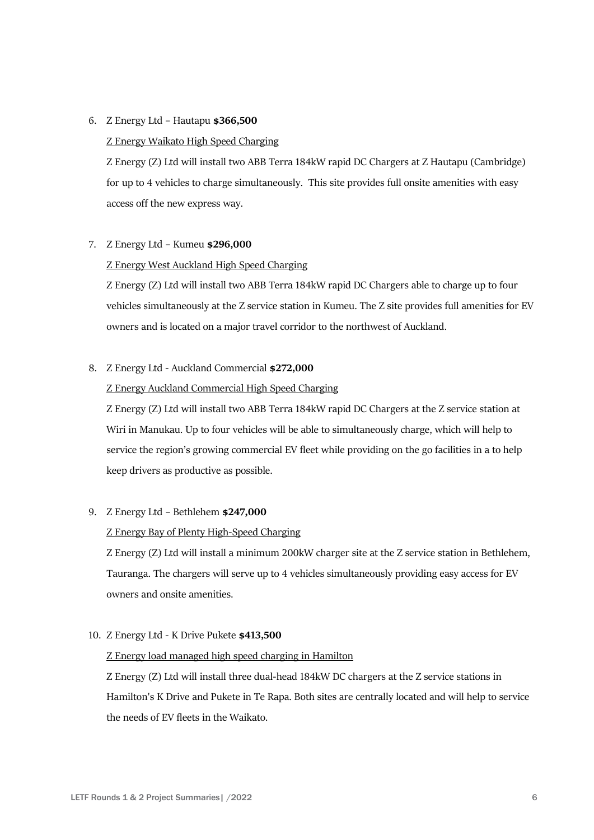## 6. Z Energy Ltd – Hautapu **\$366,500**

### Z Energy Waikato High Speed Charging

Z Energy (Z) Ltd will install two ABB Terra 184kW rapid DC Chargers at Z Hautapu (Cambridge) for up to 4 vehicles to charge simultaneously. This site provides full onsite amenities with easy access off the new express way.

#### 7. Z Energy Ltd – Kumeu **\$296,000**

## Z Energy West Auckland High Speed Charging

Z Energy (Z) Ltd will install two ABB Terra 184kW rapid DC Chargers able to charge up to four vehicles simultaneously at the Z service station in Kumeu. The Z site provides full amenities for EV owners and is located on a major travel corridor to the northwest of Auckland.

# 8. Z Energy Ltd - Auckland Commercial **\$272,000**

## Z Energy Auckland Commercial High Speed Charging

Z Energy (Z) Ltd will install two ABB Terra 184kW rapid DC Chargers at the Z service station at Wiri in Manukau. Up to four vehicles will be able to simultaneously charge, which will help to service the region's growing commercial EV fleet while providing on the go facilities in a to help keep drivers as productive as possible.

#### 9. Z Energy Ltd – Bethlehem **\$247,000**

## Z Energy Bay of Plenty High-Speed Charging

Z Energy (Z) Ltd will install a minimum 200kW charger site at the Z service station in Bethlehem, Tauranga. The chargers will serve up to 4 vehicles simultaneously providing easy access for EV owners and onsite amenities.

## 10. Z Energy Ltd - K Drive Pukete **\$413,500**

#### Z Energy load managed high speed charging in Hamilton

Z Energy (Z) Ltd will install three dual-head 184kW DC chargers at the Z service stations in Hamilton's K Drive and Pukete in Te Rapa. Both sites are centrally located and will help to service the needs of EV fleets in the Waikato.